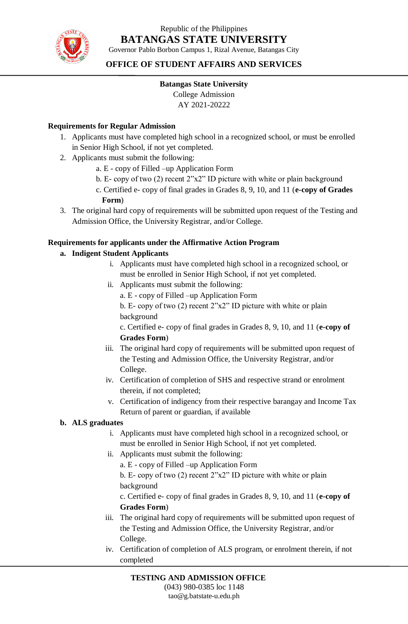

## Republic of the Philippines **BATANGAS STATE UNIVERSITY**

Governor Pablo Borbon Campus 1, Rizal Avenue, Batangas City

#### **OFFICE OF STUDENT AFFAIRS AND SERVICES**

## **Batangas State University**

College Admission

AY 2021-20222

#### **Requirements for Regular Admission**

- 1. Applicants must have completed high school in a recognized school, or must be enrolled in Senior High School, if not yet completed.
- 2. Applicants must submit the following:
	- a. E copy of Filled –up Application Form
	- b. E- copy of two (2) recent 2"x2" ID picture with white or plain background
	- c. Certified e- copy of final grades in Grades 8, 9, 10, and 11 (**e-copy of Grades Form**)
- 3. The original hard copy of requirements will be submitted upon request of the Testing and Admission Office, the University Registrar, and/or College.

#### **Requirements for applicants under the Affirmative Action Program**

- **a. Indigent Student Applicants**
	- i. Applicants must have completed high school in a recognized school, or must be enrolled in Senior High School, if not yet completed.
	- ii. Applicants must submit the following:
		- a. E copy of Filled –up Application Form
		- b. E- copy of two (2) recent 2"x2" ID picture with white or plain background

c. Certified e- copy of final grades in Grades 8, 9, 10, and 11 (**e-copy of Grades Form**)

- iii. The original hard copy of requirements will be submitted upon request of the Testing and Admission Office, the University Registrar, and/or College.
- iv. Certification of completion of SHS and respective strand or enrolment therein, if not completed;
- v. Certification of indigency from their respective barangay and Income Tax Return of parent or guardian, if available

#### **b. ALS graduates**

- i. Applicants must have completed high school in a recognized school, or must be enrolled in Senior High School, if not yet completed.
- ii. Applicants must submit the following:
	- a. E copy of Filled –up Application Form
	- b. E- copy of two (2) recent 2"x2" ID picture with white or plain background

c. Certified e- copy of final grades in Grades 8, 9, 10, and 11 (**e-copy of Grades Form**)

- iii. The original hard copy of requirements will be submitted upon request of the Testing and Admission Office, the University Registrar, and/or College.
- iv. Certification of completion of ALS program, or enrolment therein, if not completed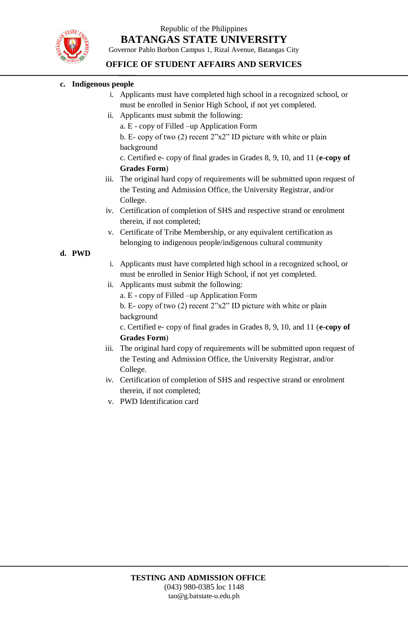Republic of the Philippines **BATANGAS STATE UNIVERSITY**



Governor Pablo Borbon Campus 1, Rizal Avenue, Batangas City

#### **OFFICE OF STUDENT AFFAIRS AND SERVICES**

#### **c. Indigenous people**

- i. Applicants must have completed high school in a recognized school, or must be enrolled in Senior High School, if not yet completed.
- ii. Applicants must submit the following:
	- a. E copy of Filled –up Application Form

b. E- copy of two (2) recent 2"x2" ID picture with white or plain background

c. Certified e- copy of final grades in Grades 8, 9, 10, and 11 (**e-copy of Grades Form**)

- iii. The original hard copy of requirements will be submitted upon request of the Testing and Admission Office, the University Registrar, and/or College.
- iv. Certification of completion of SHS and respective strand or enrolment therein, if not completed;
- v. Certificate of Tribe Membership, or any equivalent certification as belonging to indigenous people/indigenous cultural community

#### **d. PWD**

- i. Applicants must have completed high school in a recognized school, or must be enrolled in Senior High School, if not yet completed.
- ii. Applicants must submit the following:
	- a. E copy of Filled –up Application Form
	- b. E- copy of two (2) recent 2"x2" ID picture with white or plain background

c. Certified e- copy of final grades in Grades 8, 9, 10, and 11 (**e-copy of Grades Form**)

- iii. The original hard copy of requirements will be submitted upon request of the Testing and Admission Office, the University Registrar, and/or College.
- iv. Certification of completion of SHS and respective strand or enrolment therein, if not completed;
- v. PWD Identification card